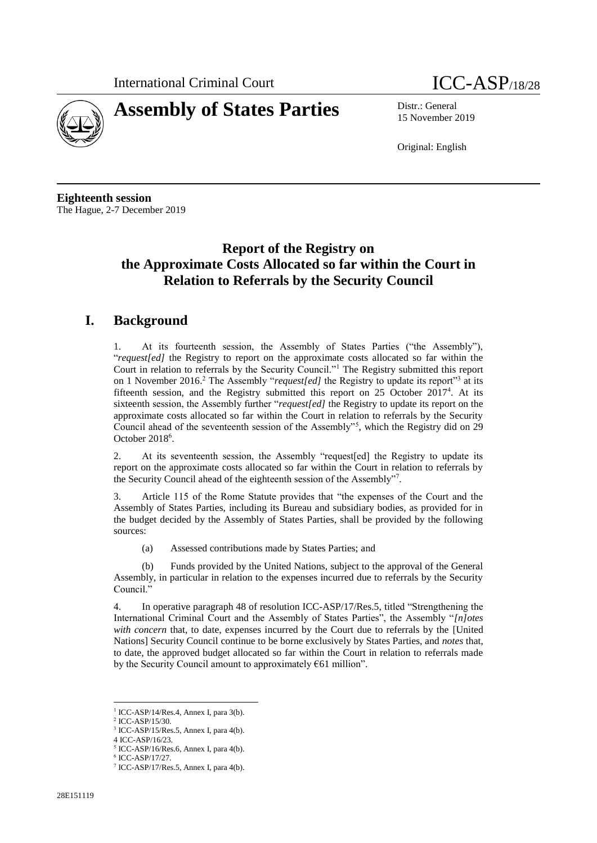



15 November 2019

Original: English

**Eighteenth session** The Hague, 2-7 December 2019

## **Report of the Registry on the Approximate Costs Allocated so far within the Court in Relation to Referrals by the Security Council**

## **I. Background**

1. At its fourteenth session, the Assembly of States Parties ("the Assembly"), "*request[ed]* the Registry to report on the approximate costs allocated so far within the Court in relation to referrals by the Security Council."<sup>1</sup> The Registry submitted this report on 1 November 2016.<sup>2</sup> The Assembly "*request[ed]* the Registry to update its report<sup>13</sup> at its fifteenth session, and the Registry submitted this report on 25 October 2017<sup>4</sup> . At its sixteenth session, the Assembly further "*request[ed]* the Registry to update its report on the approximate costs allocated so far within the Court in relation to referrals by the Security Council ahead of the seventeenth session of the Assembly"<sup>5</sup> , which the Registry did on 29 October 2018<sup>6</sup>.

2. At its seventeenth session, the Assembly "request[ed] the Registry to update its report on the approximate costs allocated so far within the Court in relation to referrals by the Security Council ahead of the eighteenth session of the Assembly"<sup>7</sup> .

3. Article 115 of the Rome Statute provides that "the expenses of the Court and the Assembly of States Parties, including its Bureau and subsidiary bodies, as provided for in the budget decided by the Assembly of States Parties, shall be provided by the following sources:

(a) Assessed contributions made by States Parties; and

(b) Funds provided by the United Nations, subject to the approval of the General Assembly, in particular in relation to the expenses incurred due to referrals by the Security Council."

4. In operative paragraph 48 of resolution ICC-ASP/17/Res.5, titled "Strengthening the International Criminal Court and the Assembly of States Parties", the Assembly "*[n]otes with concern* that, to date, expenses incurred by the Court due to referrals by the [United Nations] Security Council continue to be borne exclusively by States Parties, and *notes* that, to date, the approved budget allocated so far within the Court in relation to referrals made by the Security Council amount to approximately  $661$  million".

 $\overline{a}$ <sup>1</sup> ICC-ASP/14/Res.4, Annex I, para 3(b).

<sup>2</sup> ICC-ASP/15/30.

<sup>3</sup> ICC-ASP/15/Res.5, Annex I, para 4(b).

<sup>4</sup> ICC-ASP/16/23.

<sup>5</sup> ICC-ASP/16/Res.6, Annex I, para 4(b).

<sup>6</sup> ICC-ASP/17/27. 7 ICC-ASP/17/Res.5, Annex I, para 4(b).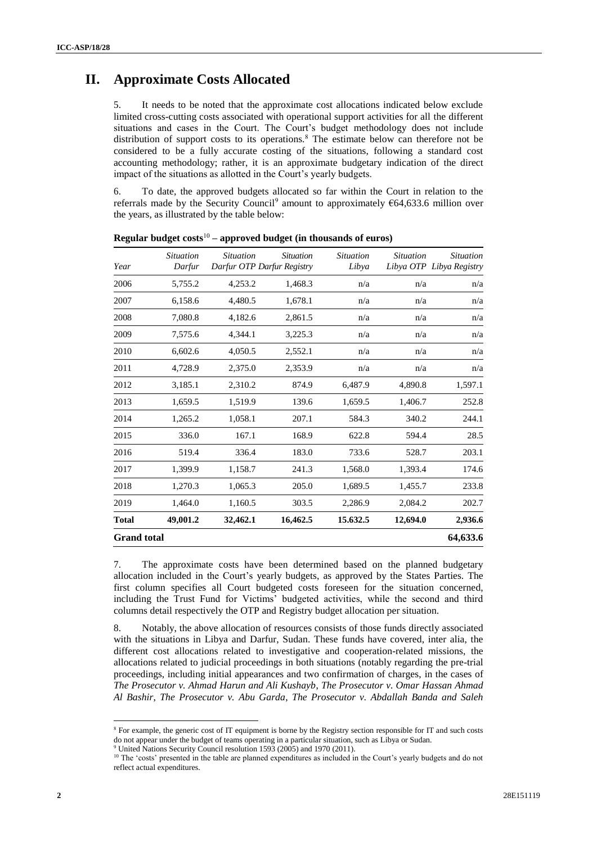## **II. Approximate Costs Allocated**

5. It needs to be noted that the approximate cost allocations indicated below exclude limited cross-cutting costs associated with operational support activities for all the different situations and cases in the Court. The Court's budget methodology does not include distribution of support costs to its operations.<sup>8</sup> The estimate below can therefore not be considered to be a fully accurate costing of the situations, following a standard cost accounting methodology; rather, it is an approximate budgetary indication of the direct impact of the situations as allotted in the Court's yearly budgets.

6. To date, the approved budgets allocated so far within the Court in relation to the referrals made by the Security Council<sup>9</sup> amount to approximately  $64,633.6$  million over the years, as illustrated by the table below:

| Year               | <i>Situation</i><br>Darfur | <i>Situation</i><br>Darfur OTP Darfur Registry | <i>Situation</i> | <i>Situation</i><br>Libya | <i>Situation</i> | <i>Situation</i><br>Libya OTP Libya Registry |
|--------------------|----------------------------|------------------------------------------------|------------------|---------------------------|------------------|----------------------------------------------|
| 2006               | 5,755.2                    | 4,253.2                                        | 1,468.3          | n/a                       | n/a              | n/a                                          |
| 2007               | 6,158.6                    | 4,480.5                                        | 1,678.1          | n/a                       | n/a              | n/a                                          |
| 2008               | 7,080.8                    | 4,182.6                                        | 2,861.5          | n/a                       | n/a              | n/a                                          |
| 2009               | 7,575.6                    | 4,344.1                                        | 3,225.3          | n/a                       | n/a              | n/a                                          |
| 2010               | 6,602.6                    | 4,050.5                                        | 2,552.1          | n/a                       | n/a              | n/a                                          |
| 2011               | 4,728.9                    | 2,375.0                                        | 2,353.9          | n/a                       | n/a              | n/a                                          |
| 2012               | 3,185.1                    | 2,310.2                                        | 874.9            | 6,487.9                   | 4,890.8          | 1,597.1                                      |
| 2013               | 1,659.5                    | 1,519.9                                        | 139.6            | 1,659.5                   | 1,406.7          | 252.8                                        |
| 2014               | 1,265.2                    | 1,058.1                                        | 207.1            | 584.3                     | 340.2            | 244.1                                        |
| 2015               | 336.0                      | 167.1                                          | 168.9            | 622.8                     | 594.4            | 28.5                                         |
| 2016               | 519.4                      | 336.4                                          | 183.0            | 733.6                     | 528.7            | 203.1                                        |
| 2017               | 1,399.9                    | 1,158.7                                        | 241.3            | 1,568.0                   | 1,393.4          | 174.6                                        |
| 2018               | 1,270.3                    | 1,065.3                                        | 205.0            | 1,689.5                   | 1,455.7          | 233.8                                        |
| 2019               | 1,464.0                    | 1,160.5                                        | 303.5            | 2,286.9                   | 2,084.2          | 202.7                                        |
| <b>Total</b>       | 49,001.2                   | 32,462.1                                       | 16,462.5         | 15.632.5                  | 12,694.0         | 2,936.6                                      |
| <b>Grand total</b> |                            |                                                |                  |                           |                  | 64,633.6                                     |

**Regular budget costs**<sup>10</sup> **– approved budget (in thousands of euros)**

7. The approximate costs have been determined based on the planned budgetary allocation included in the Court's yearly budgets, as approved by the States Parties. The first column specifies all Court budgeted costs foreseen for the situation concerned, including the Trust Fund for Victims' budgeted activities, while the second and third columns detail respectively the OTP and Registry budget allocation per situation.

8. Notably, the above allocation of resources consists of those funds directly associated with the situations in Libya and Darfur, Sudan. These funds have covered, inter alia, the different cost allocations related to investigative and cooperation-related missions, the allocations related to judicial proceedings in both situations (notably regarding the pre-trial proceedings, including initial appearances and two confirmation of charges, in the cases of *The Prosecutor v. Ahmad Harun and Ali Kushayb*, *The Prosecutor v. Omar Hassan Ahmad Al Bashir*, *The Prosecutor v. Abu Garda*, *The Prosecutor v. Abdallah Banda and Saleh* 

 $\overline{a}$ 

<sup>8</sup> For example, the generic cost of IT equipment is borne by the Registry section responsible for IT and such costs do not appear under the budget of teams operating in a particular situation, such as Libya or Sudan.

<sup>&</sup>lt;sup>9</sup> United Nations Security Council resolution 1593 (2005) and 1970 (2011).

<sup>&</sup>lt;sup>10</sup> The 'costs' presented in the table are planned expenditures as included in the Court's yearly budgets and do not reflect actual expenditures.